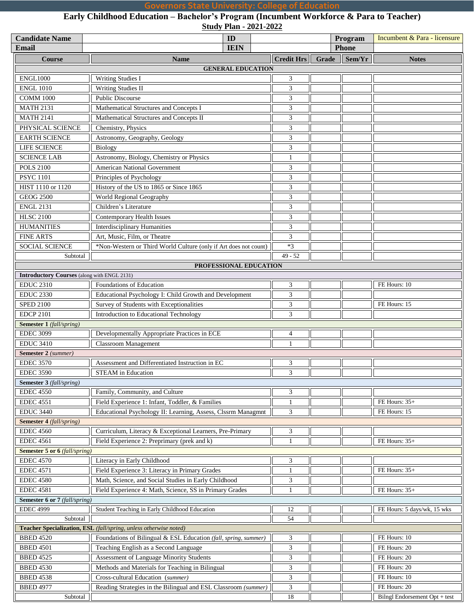## **Governors State University: College of Education**

**Early Childhood Education – Bachelor's Program (Incumbent Workforce & Para to Teacher) Study Plan - 2021-2022**

| <b>Candidate Name</b><br><b>Email</b>              | ID<br><b>IEIN</b>                                                 |  |                |                             |       | Program<br><b>Phone</b> | Incumbent & Para - licensure  |
|----------------------------------------------------|-------------------------------------------------------------------|--|----------------|-----------------------------|-------|-------------------------|-------------------------------|
|                                                    |                                                                   |  |                |                             |       |                         |                               |
| <b>Course</b>                                      | <b>Name</b>                                                       |  |                | <b>Credit Hrs</b>           | Grade | Sem/Yr                  | <b>Notes</b>                  |
|                                                    | <b>GENERAL EDUCATION</b>                                          |  |                |                             |       |                         |                               |
| <b>ENGL1000</b>                                    | <b>Writing Studies I</b>                                          |  |                | $\ensuremath{\mathfrak{Z}}$ |       |                         |                               |
| <b>ENGL 1010</b>                                   | <b>Writing Studies II</b>                                         |  |                | $\mathfrak{Z}$              |       |                         |                               |
| <b>COMM 1000</b>                                   | <b>Public Discourse</b>                                           |  |                | $\mathfrak{Z}$              |       |                         |                               |
| <b>MATH 2131</b>                                   | Mathematical Structures and Concepts I                            |  |                | $\mathfrak{Z}$              |       |                         |                               |
| <b>MATH 2141</b>                                   | Mathematical Structures and Concepts II                           |  |                | 3                           |       |                         |                               |
| PHYSICAL SCIENCE                                   | Chemistry, Physics                                                |  |                | $\mathfrak{Z}$              |       |                         |                               |
| <b>EARTH SCIENCE</b>                               | Astronomy, Geography, Geology                                     |  |                | $\mathfrak{Z}$              |       |                         |                               |
| LIFE SCIENCE                                       | Biology                                                           |  |                | $\mathfrak{Z}$              |       |                         |                               |
| <b>SCIENCE LAB</b>                                 | Astronomy, Biology, Chemistry or Physics                          |  |                | $\mathbf{1}$                |       |                         |                               |
| <b>POLS 2100</b>                                   | <b>American National Government</b>                               |  |                | $\mathfrak{Z}$              |       |                         |                               |
| <b>PSYC</b> 1101                                   | Principles of Psychology                                          |  |                | $\mathfrak{Z}$              |       |                         |                               |
| HIST 1110 or 1120                                  | History of the US to 1865 or Since 1865                           |  |                | 3                           |       |                         |                               |
| <b>GEOG 2500</b>                                   | World Regional Geography                                          |  |                | 3                           |       |                         |                               |
| <b>ENGL 2131</b>                                   | Children's Literature                                             |  |                | $\overline{3}$              |       |                         |                               |
| <b>HLSC 2100</b>                                   | Contemporary Health Issues                                        |  |                | $\overline{3}$              |       |                         |                               |
| <b>HUMANITIES</b>                                  | <b>Interdisciplinary Humanities</b>                               |  |                | $\overline{3}$              |       |                         |                               |
| <b>FINE ARTS</b>                                   | Art, Music, Film, or Theatre                                      |  |                | $\mathfrak{Z}$              |       |                         |                               |
| SOCIAL SCIENCE                                     | *Non-Western or Third World Culture (only if Art does not count)  |  |                | $*3$                        |       |                         |                               |
| Subtotal                                           |                                                                   |  |                | $49 - 52$                   |       |                         |                               |
|                                                    | PROFESSIONAL EDUCATION                                            |  |                |                             |       |                         |                               |
| <b>Introductory Courses</b> (along with ENGL 2131) |                                                                   |  |                |                             |       |                         |                               |
| <b>EDUC 2310</b>                                   | Foundations of Education                                          |  |                | 3                           |       |                         | FE Hours: 10                  |
| <b>EDUC 2330</b>                                   | Educational Psychology I: Child Growth and Development            |  |                | 3                           |       |                         |                               |
| <b>SPED 2100</b>                                   | Survey of Students with Exceptionalities                          |  |                | $\overline{3}$              |       |                         | FE Hours: 15                  |
| <b>EDCP 2101</b>                                   | Introduction to Educational Technology                            |  |                | $\mathfrak{Z}$              |       |                         |                               |
| <b>Semester 1</b> (fall/spring)                    |                                                                   |  |                |                             |       |                         |                               |
| <b>EDEC 3099</b>                                   | Developmentally Appropriate Practices in ECE                      |  |                | $\overline{4}$              |       |                         |                               |
| <b>EDUC 3410</b>                                   | <b>Classroom Management</b>                                       |  |                | $\overline{1}$              |       |                         |                               |
| Semester 2 (summer)                                |                                                                   |  |                |                             |       |                         |                               |
| <b>EDEC 3570</b>                                   | Assessment and Differentiated Instruction in EC                   |  |                | 3                           |       |                         |                               |
| <b>EDEC 3590</b>                                   | <b>STEAM</b> in Education                                         |  |                | $\mathfrak{Z}$              |       |                         |                               |
| <b>Semester 3</b> (fall/spring)                    |                                                                   |  |                |                             |       |                         |                               |
|                                                    |                                                                   |  |                |                             |       |                         |                               |
| <b>EDEC 4550</b>                                   | Family, Community, and Culture                                    |  |                | $\mathfrak{Z}$              |       |                         |                               |
| <b>EDEC 4551</b>                                   | Field Experience 1: Infant, Toddler, & Families                   |  |                | $\mathbf{1}$                |       |                         | FE Hours: 35+                 |
| <b>EDUC 3440</b>                                   | Educational Psychology II: Learning, Assess, Clssrm Managmnt      |  |                | $\mathfrak{Z}$              |       |                         | FE Hours: 15                  |
| <b>Semester 4</b> (fall/spring)                    |                                                                   |  |                |                             |       |                         |                               |
| <b>EDEC 4560</b>                                   | Curriculum, Literacy & Exceptional Learners, Pre-Primary          |  |                | $\mathfrak{Z}$              |       |                         |                               |
| <b>EDEC</b> 4561                                   | Field Experience 2: Preprimary (prek and k)                       |  |                | $\mathbf{1}$                |       |                         | FE Hours: 35+                 |
| <b>Semester 5 or 6</b> (fall/spring)               |                                                                   |  |                |                             |       |                         |                               |
| <b>EDEC 4570</b>                                   | Literacy in Early Childhood                                       |  |                | $\mathfrak{Z}$              |       |                         |                               |
| <b>EDEC</b> 4571                                   | Field Experience 3: Literacy in Primary Grades                    |  |                | $\mathbf{1}$                |       |                         | FE Hours: 35+                 |
| <b>EDEC 4580</b>                                   | Math, Science, and Social Studies in Early Childhood              |  |                | 3                           |       |                         |                               |
| <b>EDEC 4581</b>                                   | Field Experience 4: Math, Science, SS in Primary Grades           |  | $\overline{1}$ |                             |       | FE Hours: 35+           |                               |
| Semester 6 or 7 (fall/spring)                      |                                                                   |  |                |                             |       |                         |                               |
| <b>EDEC 4999</b>                                   | Student Teaching in Early Childhood Education                     |  |                | 12                          |       |                         | FE Hours: 5 days/wk, 15 wks   |
| Subtotal                                           |                                                                   |  |                | 54                          |       |                         |                               |
|                                                    | Teacher Specialization, ESL (fall/spring, unless otherwise noted) |  |                |                             |       |                         |                               |
| <b>BBED 4520</b>                                   | Foundations of Bilingual & ESL Education (fall, spring, summer)   |  |                | 3                           |       |                         | FE Hours: 10                  |
| <b>BBED 4501</b>                                   | Teaching English as a Second Language                             |  |                | 3                           |       |                         | FE Hours: 20                  |
| <b>BBED 4525</b>                                   | Assessment of Language Minority Students                          |  |                | $\overline{\mathbf{3}}$     |       |                         | FE Hours: 20                  |
| <b>BBED 4530</b>                                   | Methods and Materials for Teaching in Bilingual                   |  |                | $\mathfrak{Z}$              |       |                         | FE Hours: 20                  |
| <b>BBED 4538</b>                                   | Cross-cultural Education (summer)                                 |  |                | 3                           |       |                         | FE Hours: 10                  |
| <b>BBED 4977</b>                                   | Reading Strategies in the Bilingual and ESL Classroom (summer)    |  |                | $\mathfrak{Z}$              |       |                         | FE Hours: 20                  |
| Subtotal                                           |                                                                   |  |                | 18                          |       |                         | Bilngl Endorsement Opt + test |